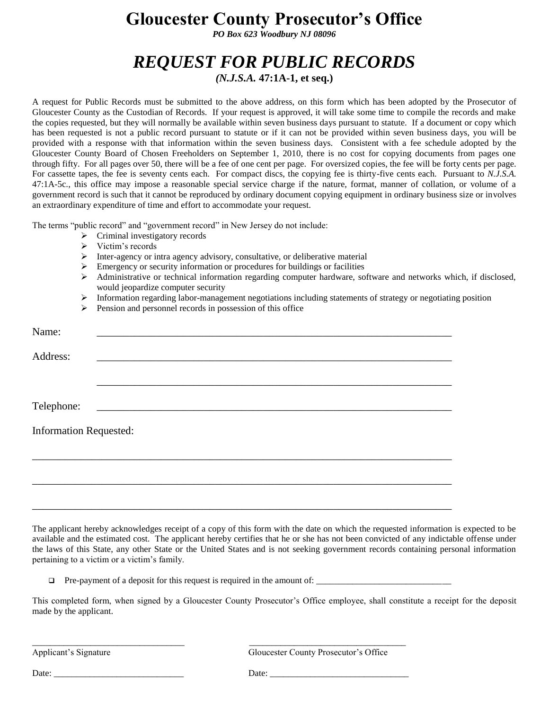## **Gloucester County Prosecutor's Office**

*PO Box 623 Woodbury NJ 08096*

## *REQUEST FOR PUBLIC RECORDS*

*(N.J.S.A.* **47:1A-1, et seq.)**

A request for Public Records must be submitted to the above address, on this form which has been adopted by the Prosecutor of Gloucester County as the Custodian of Records. If your request is approved, it will take some time to compile the records and make the copies requested, but they will normally be available within seven business days pursuant to statute. If a document or copy which has been requested is not a public record pursuant to statute or if it can not be provided within seven business days, you will be provided with a response with that information within the seven business days. Consistent with a fee schedule adopted by the Gloucester County Board of Chosen Freeholders on September 1, 2010, there is no cost for copying documents from pages one through fifty. For all pages over 50, there will be a fee of one cent per page. For oversized copies, the fee will be forty cents per page. For cassette tapes, the fee is seventy cents each. For compact discs, the copying fee is thirty-five cents each. Pursuant to *N.J.S.A.* 47:1A-5c., this office may impose a reasonable special service charge if the nature, format, manner of collation, or volume of a government record is such that it cannot be reproduced by ordinary document copying equipment in ordinary business size or involves an extraordinary expenditure of time and effort to accommodate your request.

The terms "public record" and "government record" in New Jersey do not include:

- $\triangleright$  Criminal investigatory records
- $\triangleright$  Victim's records
- $\triangleright$  Inter-agency or intra agency advisory, consultative, or deliberative material
- $\triangleright$  Emergency or security information or procedures for buildings or facilities
- Administrative or technical information regarding computer hardware, software and networks which, if disclosed, would jeopardize computer security
- Information regarding labor-management negotiations including statements of strategy or negotiating position
- $\triangleright$  Pension and personnel records in possession of this office

| Name:                         |                                                                                                                       |  |  |  |  |  |
|-------------------------------|-----------------------------------------------------------------------------------------------------------------------|--|--|--|--|--|
| Address:                      |                                                                                                                       |  |  |  |  |  |
|                               |                                                                                                                       |  |  |  |  |  |
| Telephone:                    | <u> 1980 - Johann Barn, mars eta bainar eta baina eta baina eta baina eta baina eta baina eta baina eta baina eta</u> |  |  |  |  |  |
| <b>Information Requested:</b> |                                                                                                                       |  |  |  |  |  |
|                               |                                                                                                                       |  |  |  |  |  |
|                               |                                                                                                                       |  |  |  |  |  |
|                               |                                                                                                                       |  |  |  |  |  |

The applicant hereby acknowledges receipt of a copy of this form with the date on which the requested information is expected to be available and the estimated cost. The applicant hereby certifies that he or she has not been convicted of any indictable offense under the laws of this State, any other State or the United States and is not seeking government records containing personal information pertaining to a victim or a victim's family.

 $\Box$  Pre-payment of a deposit for this request is required in the amount of:

\_\_\_\_\_\_\_\_\_\_\_\_\_\_\_\_\_\_\_\_\_\_\_\_\_\_\_\_\_\_\_\_\_\_ \_\_\_\_\_\_\_\_\_\_\_\_\_\_\_\_\_\_\_\_\_\_\_\_\_\_\_\_\_\_\_\_\_\_\_

This completed form, when signed by a Gloucester County Prosecutor's Office employee, shall constitute a receipt for the deposit made by the applicant.

Applicant's Signature Gloucester County Prosecutor's Office

Date: \_\_\_\_\_\_\_\_\_\_\_\_\_\_\_\_\_\_\_\_\_\_\_\_\_\_\_\_\_ Date: \_\_\_\_\_\_\_\_\_\_\_\_\_\_\_\_\_\_\_\_\_\_\_\_\_\_\_\_\_\_\_